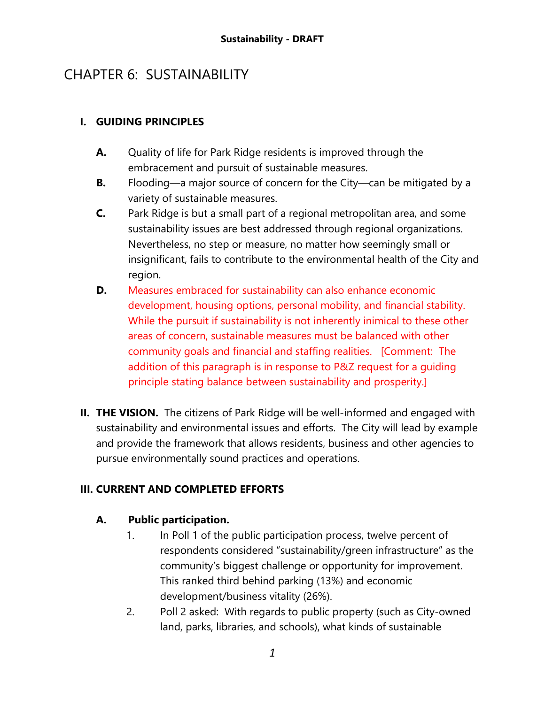# CHAPTER 6: SUSTAINABILITY

### **I. GUIDING PRINCIPLES**

- **A.** Quality of life for Park Ridge residents is improved through the embracement and pursuit of sustainable measures.
- **B.** Flooding—a major source of concern for the City—can be mitigated by a variety of sustainable measures.
- **C.** Park Ridge is but a small part of a regional metropolitan area, and some sustainability issues are best addressed through regional organizations. Nevertheless, no step or measure, no matter how seemingly small or insignificant, fails to contribute to the environmental health of the City and region.
- **D.** Measures embraced for sustainability can also enhance economic development, housing options, personal mobility, and financial stability. While the pursuit if sustainability is not inherently inimical to these other areas of concern, sustainable measures must be balanced with other community goals and financial and staffing realities. [Comment: The addition of this paragraph is in response to P&Z request for a guiding principle stating balance between sustainability and prosperity.]
- **II. THE VISION.** The citizens of Park Ridge will be well-informed and engaged with sustainability and environmental issues and efforts. The City will lead by example and provide the framework that allows residents, business and other agencies to pursue environmentally sound practices and operations.

# **III. CURRENT AND COMPLETED EFFORTS**

### **A. Public participation.**

- 1. In Poll 1 of the public participation process, twelve percent of respondents considered "sustainability/green infrastructure" as the community's biggest challenge or opportunity for improvement. This ranked third behind parking (13%) and economic development/business vitality (26%).
- 2. Poll 2 asked: With regards to public property (such as City-owned land, parks, libraries, and schools), what kinds of sustainable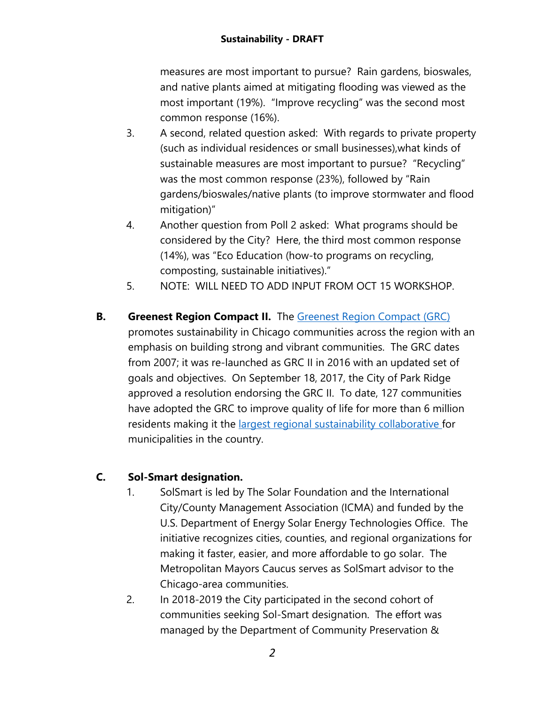measures are most important to pursue? Rain gardens, bioswales, and native plants aimed at mitigating flooding was viewed as the most important (19%). "Improve recycling" was the second most common response (16%).

- 3. A second, related question asked: With regards to private property (such as individual residences or small businesses),what kinds of sustainable measures are most important to pursue? "Recycling" was the most common response (23%), followed by "Rain gardens/bioswales/native plants (to improve stormwater and flood mitigation)"
- 4. Another question from Poll 2 asked: What programs should be considered by the City? Here, the third most common response (14%), was "Eco Education (how-to programs on recycling, composting, sustainable initiatives)."
- 5. NOTE: WILL NEED TO ADD INPUT FROM OCT 15 WORKSHOP.
- **B. Greenest Region Compact II.** The [Greenest Region Compact \(GRC\)](http://mayorscaucus.org/wp-content/uploads/2018/04/Greenest-Region-Compact-2-FINAL_NewLogo.pdf) promotes sustainability in Chicago communities across the region with an emphasis on building strong and vibrant communities. The GRC dates from 2007; it was re-launched as GRC II in 2016 with an updated set of goals and objectives. On September 18, 2017, the City of Park Ridge approved a resolution endorsing the GRC II. To date, 127 communities have adopted the GRC to improve quality of life for more than 6 million residents making it the [largest regional sustainability collaborative f](http://us.sustain.org/resource/regional-collaboratives-for-climate-change-a-state-of-the-art/)or municipalities in the country.

# **C. Sol-Smart designation.**

- 1. SolSmart is led by The Solar Foundation and the International City/County Management Association (ICMA) and funded by the U.S. Department of Energy Solar Energy Technologies Office. The initiative recognizes cities, counties, and regional organizations for making it faster, easier, and more affordable to go solar. The Metropolitan Mayors Caucus serves as SolSmart advisor to the Chicago-area communities.
- 2. In 2018-2019 the City participated in the second cohort of communities seeking Sol-Smart designation. The effort was managed by the Department of Community Preservation &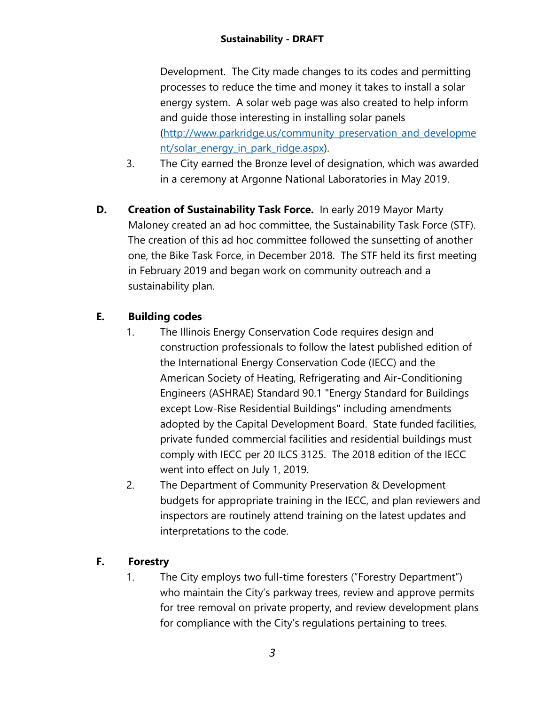Development. The City made changes to its codes and permitting processes to reduce the time and money it takes to install a solar energy system. A solar web page was also created to help inform and guide those interesting in installing solar panels [\(http://www.parkridge.us/community\\_preservation\\_and\\_developme](http://www.parkridge.us/community_preservation_and_development/solar_energy_in_park_ridge.aspx) nt/solar energy in park ridge.aspx).

- 3. The City earned the Bronze level of designation, which was awarded in a ceremony at Argonne National Laboratories in May 2019.
- **D. Creation of Sustainability Task Force.** In early 2019 Mayor Marty Maloney created an ad hoc committee, the Sustainability Task Force (STF). The creation of this ad hoc committee followed the sunsetting of another one, the Bike Task Force, in December 2018. The STF held its first meeting in February 2019 and began work on community outreach and a sustainability plan.

# **E. Building codes**

- 1. The Illinois Energy Conservation Code requires design and construction professionals to follow the latest published edition of the International Energy Conservation Code (IECC) and the American Society of Heating, Refrigerating and Air-Conditioning Engineers (ASHRAE) Standard 90.1 "Energy Standard for Buildings except Low-Rise Residential Buildings" including amendments adopted by the Capital Development Board. State funded facilities, private funded commercial facilities and residential buildings must comply with IECC per 20 ILCS 3125. The 2018 edition of the IECC went into effect on July 1, 2019.
- 2. The Department of Community Preservation & Development budgets for appropriate training in the IECC, and plan reviewers and inspectors are routinely attend training on the latest updates and interpretations to the code.

# **F. Forestry**

1. The City employs two full-time foresters ("Forestry Department") who maintain the City's parkway trees, review and approve permits for tree removal on private property, and review development plans for compliance with the City's regulations pertaining to trees.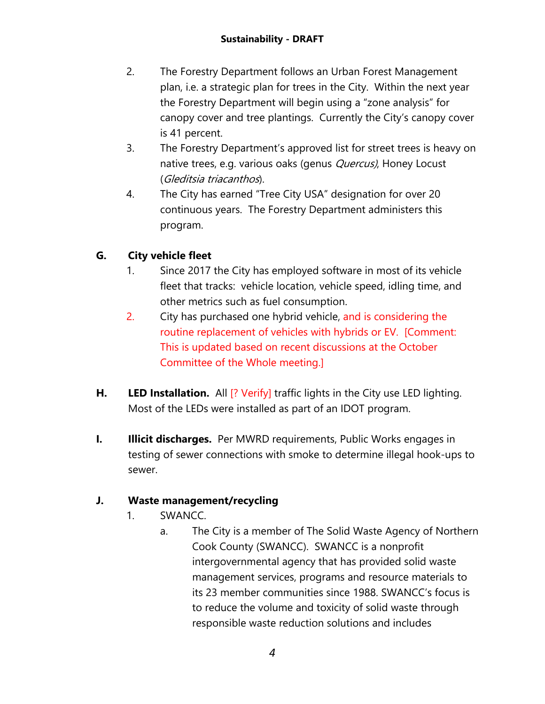- 2. The Forestry Department follows an Urban Forest Management plan, i.e. a strategic plan for trees in the City. Within the next year the Forestry Department will begin using a "zone analysis" for canopy cover and tree plantings. Currently the City's canopy cover is 41 percent.
- 3. The Forestry Department's approved list for street trees is heavy on native trees, e.g. various oaks (genus *Quercus)*, Honey Locust (Gleditsia triacanthos).
- 4. The City has earned "Tree City USA" designation for over 20 continuous years. The Forestry Department administers this program.

# **G. City vehicle fleet**

- 1. Since 2017 the City has employed software in most of its vehicle fleet that tracks: vehicle location, vehicle speed, idling time, and other metrics such as fuel consumption.
- 2. City has purchased one hybrid vehicle, and is considering the routine replacement of vehicles with hybrids or EV. [Comment: This is updated based on recent discussions at the October Committee of the Whole meeting.]
- **H. LED Installation.** All  $[$ ? Verify] traffic lights in the City use LED lighting. Most of the LEDs were installed as part of an IDOT program.
- **I. Illicit discharges.** Per MWRD requirements, Public Works engages in testing of sewer connections with smoke to determine illegal hook-ups to sewer.

# **J. Waste management/recycling**

- 1. SWANCC.
	- a. The City is a member of The Solid Waste Agency of Northern Cook County (SWANCC). SWANCC is a nonprofit intergovernmental agency that has provided solid waste management services, programs and resource materials to its 23 member communities since 1988. SWANCC's focus is to reduce the volume and toxicity of solid waste through responsible waste reduction solutions and includes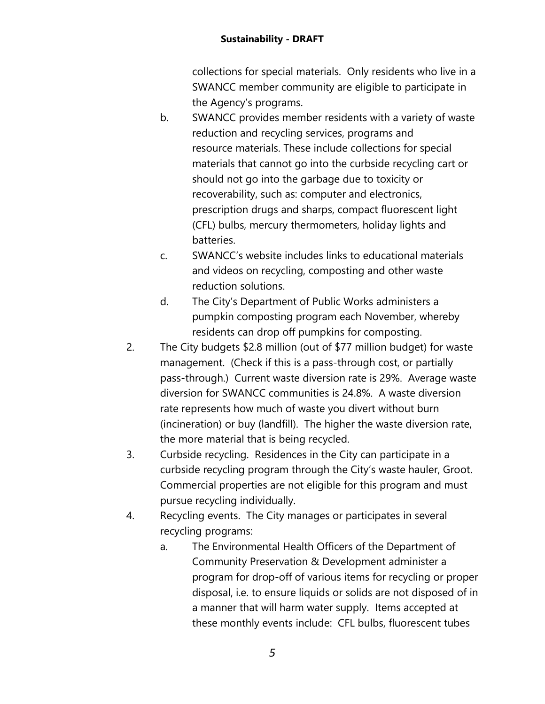#### **Sustainability - DRAFT**

collections for special materials. Only residents who live in a SWANCC member community are eligible to participate in the Agency's programs.

- b. SWANCC provides member residents with a variety of waste reduction and recycling services, programs and resource materials. These include collections for special materials that cannot go into the curbside recycling cart or should not go into the garbage due to toxicity or recoverability, such as: computer and electronics, prescription drugs and sharps, compact fluorescent light (CFL) bulbs, mercury thermometers, holiday lights and batteries.
- c. SWANCC's website includes links to educational materials and videos on recycling, composting and other waste reduction solutions.
- d. The City's Department of Public Works administers a pumpkin composting program each November, whereby residents can drop off pumpkins for composting.
- 2. The City budgets \$2.8 million (out of \$77 million budget) for waste management. (Check if this is a pass-through cost, or partially pass-through.) Current waste diversion rate is 29%. Average waste diversion for SWANCC communities is 24.8%. A waste diversion rate represents how much of waste you divert without burn (incineration) or buy (landfill). The higher the waste diversion rate, the more material that is being recycled.
- 3. Curbside recycling. Residences in the City can participate in a curbside recycling program through the City's waste hauler, Groot. Commercial properties are not eligible for this program and must pursue recycling individually.
- 4. Recycling events. The City manages or participates in several recycling programs:
	- a. The Environmental Health Officers of the Department of Community Preservation & Development administer a program for drop-off of various items for recycling or proper disposal, i.e. to ensure liquids or solids are not disposed of in a manner that will harm water supply. Items accepted at these monthly events include: CFL bulbs, fluorescent tubes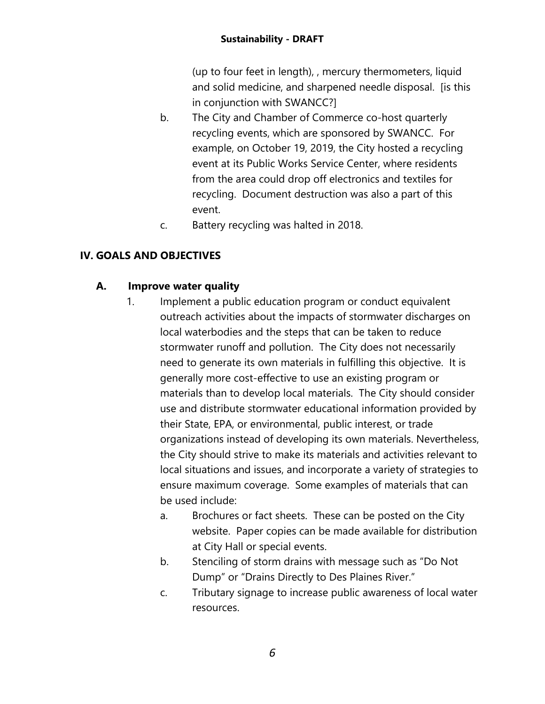(up to four feet in length), , mercury thermometers, liquid and solid medicine, and sharpened needle disposal. [is this in conjunction with SWANCC?]

- b. The City and Chamber of Commerce co-host quarterly recycling events, which are sponsored by SWANCC. For example, on October 19, 2019, the City hosted a recycling event at its Public Works Service Center, where residents from the area could drop off electronics and textiles for recycling. Document destruction was also a part of this event.
- c. Battery recycling was halted in 2018.

### **IV. GOALS AND OBJECTIVES**

### **A. Improve water quality**

- 1. Implement a public education program or conduct equivalent outreach activities about the impacts of stormwater discharges on local waterbodies and the steps that can be taken to reduce stormwater runoff and pollution. The City does not necessarily need to generate its own materials in fulfilling this objective. It is generally more cost-effective to use an existing program or materials than to develop local materials. The City should consider use and distribute stormwater educational information provided by their State, EPA, or environmental, public interest, or trade organizations instead of developing its own materials. Nevertheless, the City should strive to make its materials and activities relevant to local situations and issues, and incorporate a variety of strategies to ensure maximum coverage. Some examples of materials that can be used include:
	- a. Brochures or fact sheets. These can be posted on the City website. Paper copies can be made available for distribution at City Hall or special events.
	- b. Stenciling of storm drains with message such as "Do Not Dump" or "Drains Directly to Des Plaines River."
	- c. Tributary signage to increase public awareness of local water resources.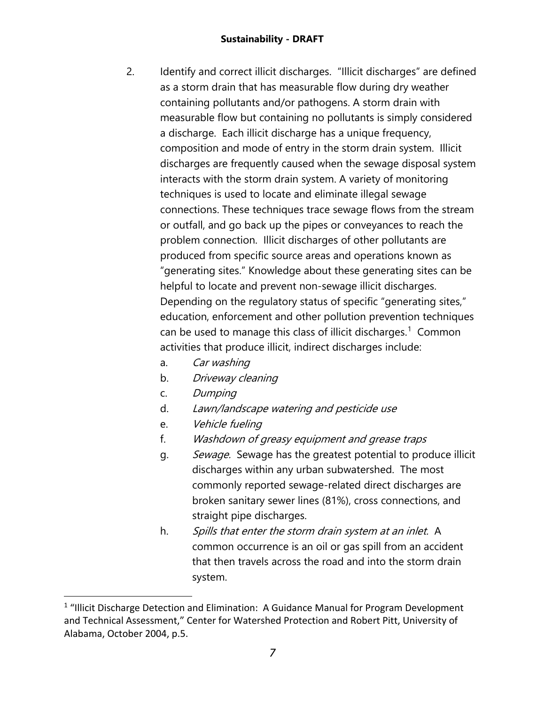#### **Sustainability - DRAFT**

- 2. Identify and correct illicit discharges. "Illicit discharges" are defined as a storm drain that has measurable flow during dry weather containing pollutants and/or pathogens. A storm drain with measurable flow but containing no pollutants is simply considered a discharge. Each illicit discharge has a unique frequency, composition and mode of entry in the storm drain system. Illicit discharges are frequently caused when the sewage disposal system interacts with the storm drain system. A variety of monitoring techniques is used to locate and eliminate illegal sewage connections. These techniques trace sewage flows from the stream or outfall, and go back up the pipes or conveyances to reach the problem connection. Illicit discharges of other pollutants are produced from specific source areas and operations known as "generating sites." Knowledge about these generating sites can be helpful to locate and prevent non-sewage illicit discharges. Depending on the regulatory status of specific "generating sites," education, enforcement and other pollution prevention techniques can be used to manage this class of illicit discharges.<sup>[1](#page-6-0)</sup> Common activities that produce illicit, indirect discharges include:
	- a. Car washing
	- b. Driveway cleaning
	- c. Dumping
	- d. Lawn/landscape watering and pesticide use
	- e. Vehicle fueling
	- f. Washdown of greasy equipment and grease traps
	- g. Sewage. Sewage has the greatest potential to produce illicit discharges within any urban subwatershed. The most commonly reported sewage-related direct discharges are broken sanitary sewer lines (81%), cross connections, and straight pipe discharges.
	- h. Spills that enter the storm drain system at an inlet. A common occurrence is an oil or gas spill from an accident that then travels across the road and into the storm drain system.

<span id="page-6-0"></span> $1$  "Illicit Discharge Detection and Elimination: A Guidance Manual for Program Development and Technical Assessment," Center for Watershed Protection and Robert Pitt, University of Alabama, October 2004, p.5.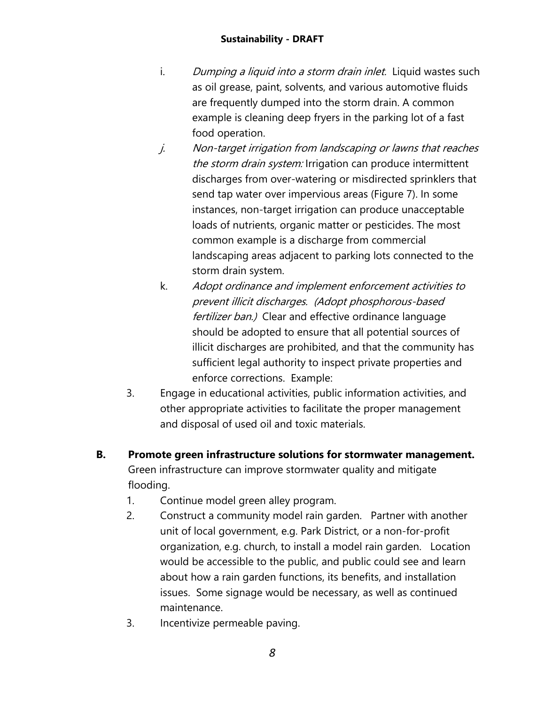- i. Dumping a liquid into a storm drain inlet. Liquid wastes such as oil grease, paint, solvents, and various automotive fluids are frequently dumped into the storm drain. A common example is cleaning deep fryers in the parking lot of a fast food operation.
- j. Non-target irrigation from landscaping or lawns that reaches the storm drain system: Irrigation can produce intermittent discharges from over-watering or misdirected sprinklers that send tap water over impervious areas (Figure 7). In some instances, non-target irrigation can produce unacceptable loads of nutrients, organic matter or pesticides. The most common example is a discharge from commercial landscaping areas adjacent to parking lots connected to the storm drain system.
- k. Adopt ordinance and implement enforcement activities to prevent illicit discharges. (Adopt phosphorous-based fertilizer ban.) Clear and effective ordinance language should be adopted to ensure that all potential sources of illicit discharges are prohibited, and that the community has sufficient legal authority to inspect private properties and enforce corrections. Example:
- 3. Engage in educational activities, public information activities, and other appropriate activities to facilitate the proper management and disposal of used oil and toxic materials.
- **B. Promote green infrastructure solutions for stormwater management.**  Green infrastructure can improve stormwater quality and mitigate flooding.
	- 1. Continue model green alley program.
	- 2. Construct a community model rain garden.Partner with another unit of local government, e.g. Park District, or a non-for-profit organization, e.g. church, to install a model rain garden. Location would be accessible to the public, and public could see and learn about how a rain garden functions, its benefits, and installation issues. Some signage would be necessary, as well as continued maintenance.
	- 3. Incentivize permeable paving.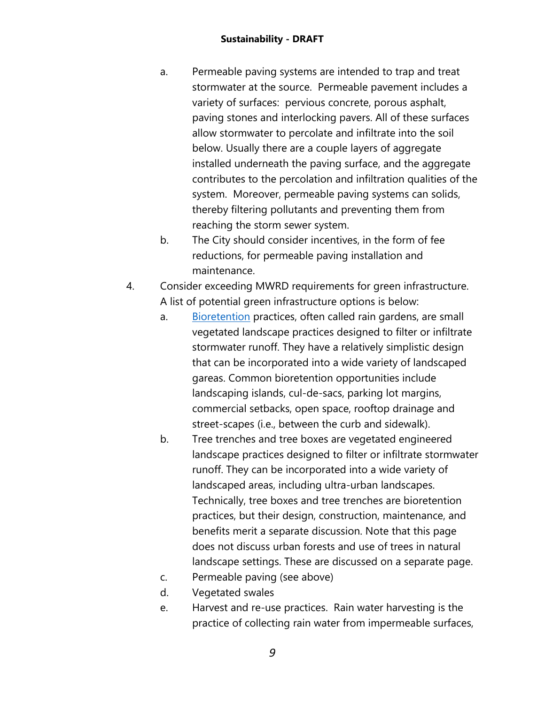- a. Permeable paving systems are intended to trap and treat stormwater at the source. Permeable pavement includes a variety of surfaces: pervious concrete, porous asphalt, paving stones and interlocking pavers. All of these surfaces allow stormwater to percolate and infiltrate into the soil below. Usually there are a couple layers of aggregate installed underneath the paving surface, and the aggregate contributes to the percolation and infiltration qualities of the system. Moreover, permeable paving systems can solids, thereby filtering pollutants and preventing them from reaching the storm sewer system.
- b. The City should consider incentives, in the form of fee reductions, for permeable paving installation and maintenance.
- 4. Consider exceeding MWRD requirements for green infrastructure. A list of potential green infrastructure options is below:
	- a. [Bioretention](https://stormwater.pca.state.mn.us/index.php?title=Bioretention) practices, often called rain gardens, are small vegetated landscape practices designed to filter or infiltrate stormwater runoff. They have a relatively simplistic design that can be incorporated into a wide variety of landscaped gareas. Common bioretention opportunities include landscaping islands, cul-de-sacs, parking lot margins, commercial setbacks, open space, rooftop drainage and street-scapes (i.e., between the curb and sidewalk).
	- b. Tree trenches and tree boxes are vegetated engineered landscape practices designed to filter or infiltrate stormwater runoff. They can be incorporated into a wide variety of landscaped areas, including ultra-urban landscapes. Technically, tree boxes and tree trenches are bioretention practices, but their design, construction, maintenance, and benefits merit a separate discussion. Note that this page does not discuss urban forests and use of trees in natural landscape settings. These are discussed on a separate page.
	- c. Permeable paving (see above)
	- d. Vegetated swales
	- e. Harvest and re-use practices. Rain water harvesting is the practice of collecting rain water from impermeable surfaces,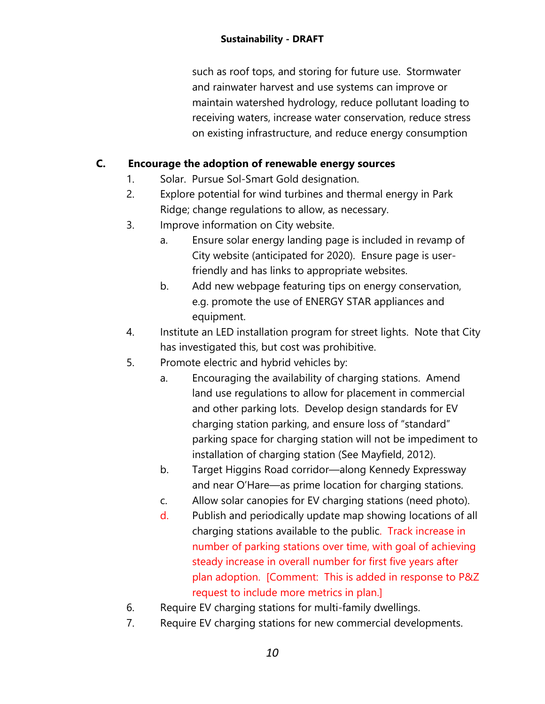such as roof tops, and storing for future use. Stormwater and rainwater harvest and use systems can improve or maintain watershed hydrology, reduce pollutant loading to receiving waters, increase water conservation, reduce stress on existing infrastructure, and reduce energy consumption

### **C. Encourage the adoption of renewable energy sources**

- 1. Solar. Pursue Sol-Smart Gold designation.
- 2. Explore potential for wind turbines and thermal energy in Park Ridge; change regulations to allow, as necessary.
- 3. Improve information on City website.
	- a. Ensure solar energy landing page is included in revamp of City website (anticipated for 2020). Ensure page is userfriendly and has links to appropriate websites.
	- b. Add new webpage featuring tips on energy conservation, e.g. promote the use of ENERGY STAR appliances and equipment.
- 4. Institute an LED installation program for street lights. Note that City has investigated this, but cost was prohibitive.
- 5. Promote electric and hybrid vehicles by:
	- a. Encouraging the availability of charging stations. Amend land use regulations to allow for placement in commercial and other parking lots. Develop design standards for EV charging station parking, and ensure loss of "standard" parking space for charging station will not be impediment to installation of charging station (See Mayfield, 2012).
	- b. Target Higgins Road corridor—along Kennedy Expressway and near O'Hare—as prime location for charging stations.
	- c. Allow solar canopies for EV charging stations (need photo).
	- d. Publish and periodically update map showing locations of all charging stations available to the public. Track increase in number of parking stations over time, with goal of achieving steady increase in overall number for first five years after plan adoption. [Comment: This is added in response to P&Z request to include more metrics in plan.]
- 6. Require EV charging stations for multi-family dwellings.
- 7. Require EV charging stations for new commercial developments.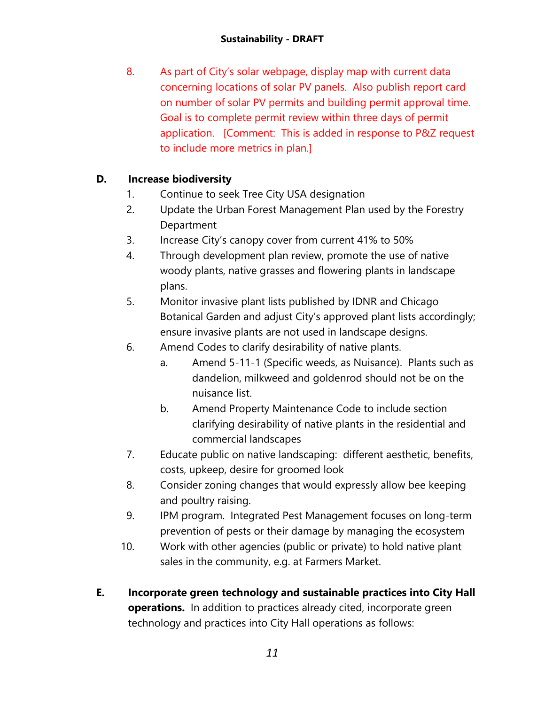8. As part of City's solar webpage, display map with current data concerning locations of solar PV panels. Also publish report card on number of solar PV permits and building permit approval time. Goal is to complete permit review within three days of permit application. [Comment: This is added in response to P&Z request to include more metrics in plan.]

# **D. Increase biodiversity**

- 1. Continue to seek Tree City USA designation
- 2. Update the Urban Forest Management Plan used by the Forestry Department
- 3. Increase City's canopy cover from current 41% to 50%
- 4. Through development plan review, promote the use of native woody plants, native grasses and flowering plants in landscape plans.
- 5. Monitor invasive plant lists published by IDNR and Chicago Botanical Garden and adjust City's approved plant lists accordingly; ensure invasive plants are not used in landscape designs.
- 6. Amend Codes to clarify desirability of native plants.
	- a. Amend 5-11-1 (Specific weeds, as Nuisance). Plants such as dandelion, milkweed and goldenrod should not be on the nuisance list.
	- b. Amend Property Maintenance Code to include section clarifying desirability of native plants in the residential and commercial landscapes
- 7. Educate public on native landscaping: different aesthetic, benefits, costs, upkeep, desire for groomed look
- 8. Consider zoning changes that would expressly allow bee keeping and poultry raising.
- 9. IPM program. Integrated Pest Management focuses on long-term prevention of pests or their damage by managing the ecosystem
- 10. Work with other agencies (public or private) to hold native plant sales in the community, e.g. at Farmers Market.
- **E. Incorporate green technology and sustainable practices into City Hall operations.** In addition to practices already cited, incorporate green technology and practices into City Hall operations as follows: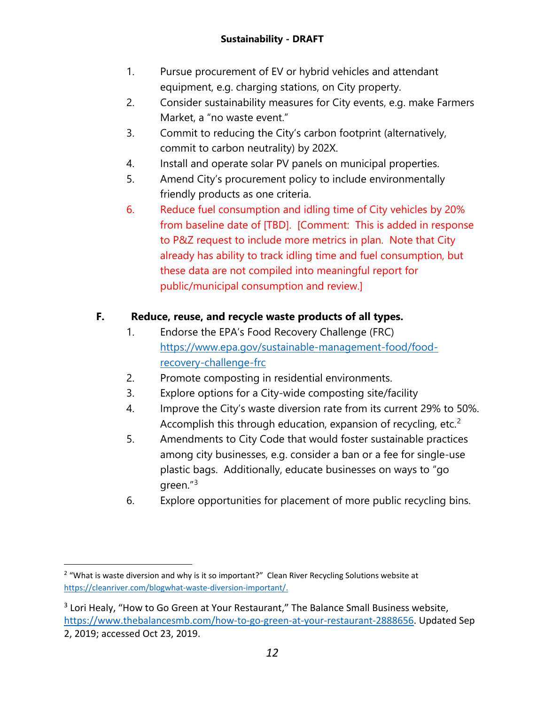- 1. Pursue procurement of EV or hybrid vehicles and attendant equipment, e.g. charging stations, on City property.
- 2. Consider sustainability measures for City events, e.g. make Farmers Market, a "no waste event."
- 3. Commit to reducing the City's carbon footprint (alternatively, commit to carbon neutrality) by 202X.
- 4. Install and operate solar PV panels on municipal properties.
- 5. Amend City's procurement policy to include environmentally friendly products as one criteria.
- 6. Reduce fuel consumption and idling time of City vehicles by 20% from baseline date of [TBD]. [Comment: This is added in response to P&Z request to include more metrics in plan. Note that City already has ability to track idling time and fuel consumption, but these data are not compiled into meaningful report for public/municipal consumption and review.]

# **F. Reduce, reuse, and recycle waste products of all types.**

- 1. Endorse the EPA's Food Recovery Challenge (FRC) [https://www.epa.gov/sustainable-management-food/food](https://www.epa.gov/sustainable-management-food/food-recovery-challenge-frc)[recovery-challenge-frc](https://www.epa.gov/sustainable-management-food/food-recovery-challenge-frc)
- 2. Promote composting in residential environments.
- 3. Explore options for a City-wide composting site/facility
- 4. Improve the City's waste diversion rate from its current 29% to 50%. Accomplish this through education, expansion of recycling, etc.<sup>[2](#page-11-0)</sup>
- 5. Amendments to City Code that would foster sustainable practices among city businesses, e.g. consider a ban or a fee for single-use plastic bags. Additionally, educate businesses on ways to "go green."[3](#page-11-1)
- 6. Explore opportunities for placement of more public recycling bins.

<span id="page-11-0"></span> $2$  "What is waste diversion and why is it so important?" Clean River Recycling Solutions website at [https://cleanriver.com/blogwhat-waste-diversion-important/.](https://cleanriver.com/blogwhat-waste-diversion-important/) 

<span id="page-11-1"></span><sup>&</sup>lt;sup>3</sup> Lori Healy, "How to Go Green at Your Restaurant," The Balance Small Business website, [https://www.thebalancesmb.com/how-to-go-green-at-your-restaurant-2888656.](https://www.thebalancesmb.com/how-to-go-green-at-your-restaurant-2888656) Updated Sep 2, 2019; accessed Oct 23, 2019.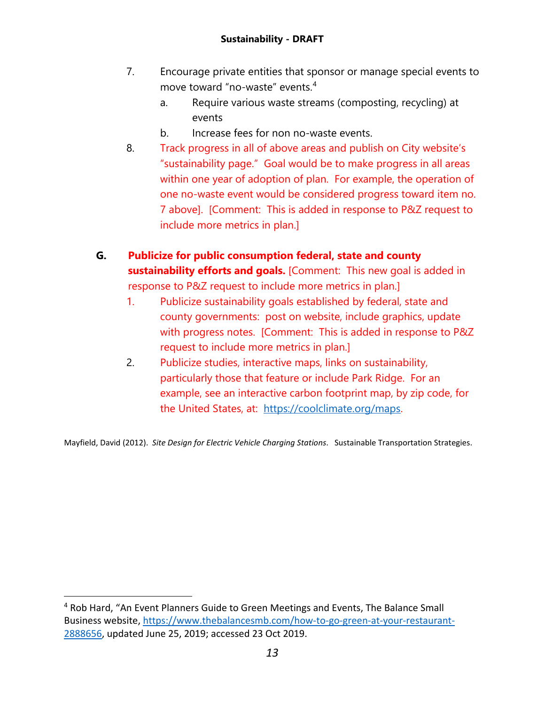- 7. Encourage private entities that sponsor or manage special events to move toward "no-waste" events.[4](#page-12-0)
	- a. Require various waste streams (composting, recycling) at events
	- b. Increase fees for non no-waste events.
- 8. Track progress in all of above areas and publish on City website's "sustainability page." Goal would be to make progress in all areas within one year of adoption of plan. For example, the operation of one no-waste event would be considered progress toward item no. 7 above]. [Comment: This is added in response to P&Z request to include more metrics in plan.]
- **G. Publicize for public consumption federal, state and county sustainability efforts and goals.** [Comment: This new goal is added in response to P&Z request to include more metrics in plan.]
	- 1. Publicize sustainability goals established by federal, state and county governments: post on website, include graphics, update with progress notes. [Comment: This is added in response to P&Z request to include more metrics in plan.]
	- 2. Publicize studies, interactive maps, links on sustainability, particularly those that feature or include Park Ridge. For an example, see an interactive carbon footprint map, by zip code, for the United States, at: [https://coolclimate.org/maps.](https://coolclimate.org/maps)

Mayfield, David (2012). *Site Design for Electric Vehicle Charging Stations*. Sustainable Transportation Strategies.

<span id="page-12-0"></span> <sup>4</sup> Rob Hard, "An Event Planners Guide to Green Meetings and Events, The Balance Small Business website, [https://www.thebalancesmb.com/how-to-go-green-at-your-restaurant-](https://www.thebalancesmb.com/how-to-go-green-at-your-restaurant-2888656)[2888656,](https://www.thebalancesmb.com/how-to-go-green-at-your-restaurant-2888656) updated June 25, 2019; accessed 23 Oct 2019.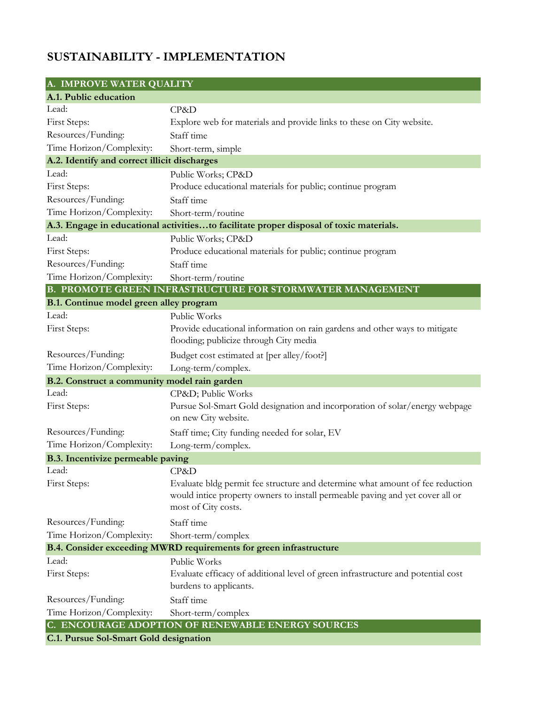# **SUSTAINABILITY - IMPLEMENTATION**

| A. IMPROVE WATER QUALITY                     |                                                                                                                                                                                       |  |
|----------------------------------------------|---------------------------------------------------------------------------------------------------------------------------------------------------------------------------------------|--|
| A.1. Public education                        |                                                                                                                                                                                       |  |
| Lead:                                        | CP&D                                                                                                                                                                                  |  |
| First Steps:                                 | Explore web for materials and provide links to these on City website.                                                                                                                 |  |
| Resources/Funding:                           | Staff time                                                                                                                                                                            |  |
| Time Horizon/Complexity:                     | Short-term, simple                                                                                                                                                                    |  |
| A.2. Identify and correct illicit discharges |                                                                                                                                                                                       |  |
| Lead:                                        | Public Works; CP&D                                                                                                                                                                    |  |
| First Steps:                                 | Produce educational materials for public; continue program                                                                                                                            |  |
| Resources/Funding:                           | Staff time                                                                                                                                                                            |  |
| Time Horizon/Complexity:                     | Short-term/routine                                                                                                                                                                    |  |
|                                              | A.3. Engage in educational activitiesto facilitate proper disposal of toxic materials.                                                                                                |  |
| Lead:                                        | Public Works; CP&D                                                                                                                                                                    |  |
| First Steps:                                 | Produce educational materials for public; continue program                                                                                                                            |  |
| Resources/Funding:                           | Staff time                                                                                                                                                                            |  |
| Time Horizon/Complexity:                     | Short-term/routine                                                                                                                                                                    |  |
|                                              | B. PROMOTE GREEN INFRASTRUCTURE FOR STORMWATER MANAGEMENT                                                                                                                             |  |
| B.1. Continue model green alley program      |                                                                                                                                                                                       |  |
| Lead:                                        | Public Works                                                                                                                                                                          |  |
| First Steps:                                 | Provide educational information on rain gardens and other ways to mitigate<br>flooding; publicize through City media                                                                  |  |
| Resources/Funding:                           | Budget cost estimated at [per alley/foot?]                                                                                                                                            |  |
| Time Horizon/Complexity:                     | Long-term/complex.                                                                                                                                                                    |  |
| B.2. Construct a community model rain garden |                                                                                                                                                                                       |  |
| Lead:                                        | CP&D Public Works                                                                                                                                                                     |  |
| First Steps:                                 | Pursue Sol-Smart Gold designation and incorporation of solar/energy webpage<br>on new City website.                                                                                   |  |
| Resources/Funding:                           | Staff time; City funding needed for solar, EV                                                                                                                                         |  |
| Time Horizon/Complexity:                     | Long-term/complex.                                                                                                                                                                    |  |
| B.3. Incentivize permeable paving            |                                                                                                                                                                                       |  |
| Lead:                                        | CP&D                                                                                                                                                                                  |  |
| First Steps:                                 | Evaluate bldg permit fee structure and determine what amount of fee reduction<br>would intice property owners to install permeable paving and yet cover all or<br>most of City costs. |  |
| Resources/Funding:                           | Staff time                                                                                                                                                                            |  |
| Time Horizon/Complexity:                     | Short-term/complex                                                                                                                                                                    |  |
|                                              | B.4. Consider exceeding MWRD requirements for green infrastructure                                                                                                                    |  |
| Lead:                                        | Public Works                                                                                                                                                                          |  |
| First Steps:                                 | Evaluate efficacy of additional level of green infrastructure and potential cost<br>burdens to applicants.                                                                            |  |
| Resources/Funding:                           | Staff time                                                                                                                                                                            |  |
| Time Horizon/Complexity:                     | Short-term/complex                                                                                                                                                                    |  |
|                                              | C. ENCOURAGE ADOPTION OF RENEWABLE ENERGY SOURCES                                                                                                                                     |  |

**C.1. Pursue Sol-Smart Gold designation**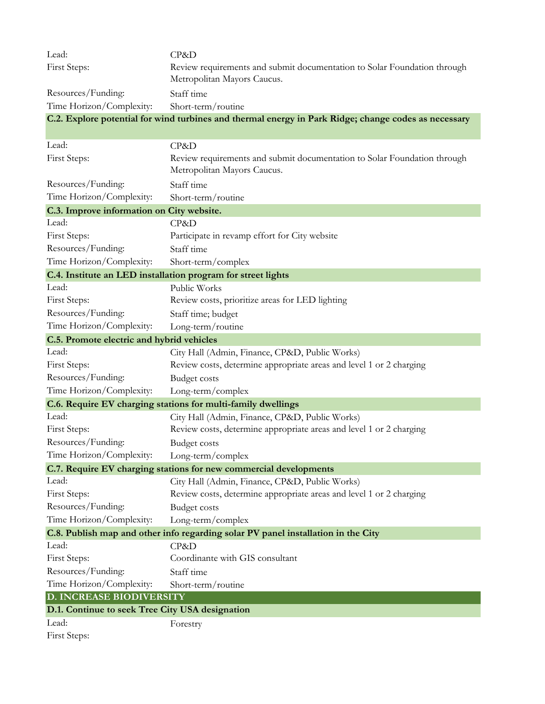| Lead:                                           | CP&D                                                                                                    |  |
|-------------------------------------------------|---------------------------------------------------------------------------------------------------------|--|
| First Steps:                                    | Review requirements and submit documentation to Solar Foundation through                                |  |
|                                                 | Metropolitan Mayors Caucus.                                                                             |  |
| Resources/Funding:                              | Staff time                                                                                              |  |
| Time Horizon/Complexity:                        | Short-term/routine                                                                                      |  |
|                                                 | C.2. Explore potential for wind turbines and thermal energy in Park Ridge; change codes as necessary    |  |
|                                                 |                                                                                                         |  |
| Lead:                                           | CP&D                                                                                                    |  |
| First Steps:                                    | Review requirements and submit documentation to Solar Foundation through<br>Metropolitan Mayors Caucus. |  |
| Resources/Funding:                              | Staff time                                                                                              |  |
| Time Horizon/Complexity:                        | Short-term/routine                                                                                      |  |
| C.3. Improve information on City website.       |                                                                                                         |  |
| Lead:                                           | CP&D                                                                                                    |  |
| First Steps:                                    | Participate in revamp effort for City website                                                           |  |
| Resources/Funding:                              | Staff time                                                                                              |  |
| Time Horizon/Complexity:                        | Short-term/complex                                                                                      |  |
|                                                 | C.4. Institute an LED installation program for street lights                                            |  |
| Lead:                                           | Public Works                                                                                            |  |
| First Steps:                                    | Review costs, prioritize areas for LED lighting                                                         |  |
| Resources/Funding:                              | Staff time; budget                                                                                      |  |
| Time Horizon/Complexity:                        | Long-term/routine                                                                                       |  |
| C.5. Promote electric and hybrid vehicles       |                                                                                                         |  |
| Lead:                                           | City Hall (Admin, Finance, CP&D, Public Works)                                                          |  |
| First Steps:                                    | Review costs, determine appropriate areas and level 1 or 2 charging                                     |  |
| Resources/Funding:                              | <b>Budget costs</b>                                                                                     |  |
| Time Horizon/Complexity:                        | Long-term/complex                                                                                       |  |
|                                                 | C.6. Require EV charging stations for multi-family dwellings                                            |  |
| Lead:                                           | City Hall (Admin, Finance, CP&D, Public Works)                                                          |  |
| First Steps:                                    | Review costs, determine appropriate areas and level 1 or 2 charging                                     |  |
| Resources/Funding:                              | Budget costs                                                                                            |  |
| Time Horizon/Complexity:                        | Long-term/complex                                                                                       |  |
|                                                 | C.7. Require EV charging stations for new commercial developments                                       |  |
| Lead:                                           | City Hall (Admin, Finance, CP&D, Public Works)                                                          |  |
| First Steps:                                    | Review costs, determine appropriate areas and level 1 or 2 charging                                     |  |
| Resources/Funding:                              | <b>Budget costs</b>                                                                                     |  |
| Time Horizon/Complexity:                        | Long-term/complex                                                                                       |  |
|                                                 | C.8. Publish map and other info regarding solar PV panel installation in the City                       |  |
| Lead:                                           | CP&D                                                                                                    |  |
| First Steps:                                    | Coordinante with GIS consultant                                                                         |  |
| Resources/Funding:                              | Staff time                                                                                              |  |
| Time Horizon/Complexity:                        | Short-term/routine                                                                                      |  |
| D. INCREASE BIODIVERSITY                        |                                                                                                         |  |
| D.1. Continue to seek Tree City USA designation |                                                                                                         |  |
| Lead:                                           | Forestry                                                                                                |  |
| First Steps:                                    |                                                                                                         |  |
|                                                 |                                                                                                         |  |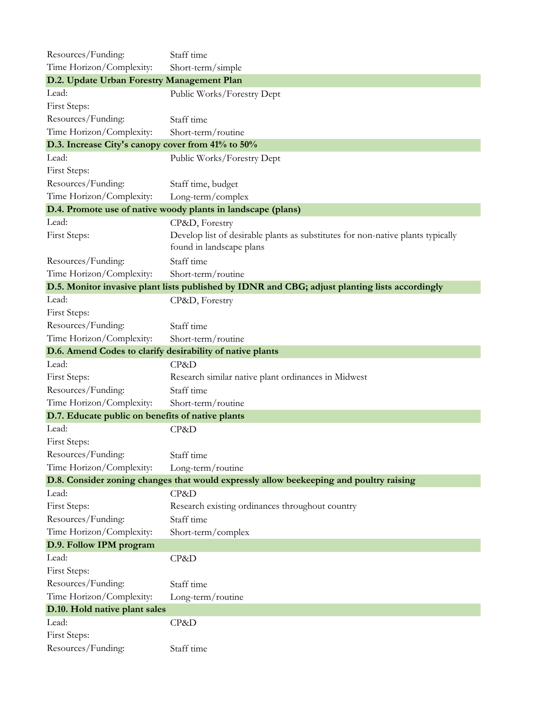| Resources/Funding:                                        | Staff time                                                                                     |  |  |
|-----------------------------------------------------------|------------------------------------------------------------------------------------------------|--|--|
| Time Horizon/Complexity:                                  | Short-term/simple                                                                              |  |  |
| D.2. Update Urban Forestry Management Plan                |                                                                                                |  |  |
| Lead:                                                     | Public Works/Forestry Dept                                                                     |  |  |
| First Steps:                                              |                                                                                                |  |  |
| Resources/Funding:                                        | Staff time                                                                                     |  |  |
| Time Horizon/Complexity:                                  | Short-term/routine                                                                             |  |  |
| D.3. Increase City's canopy cover from 41% to 50%         |                                                                                                |  |  |
| Lead:                                                     | Public Works/Forestry Dept                                                                     |  |  |
| First Steps:                                              |                                                                                                |  |  |
| Resources/Funding:                                        | Staff time, budget                                                                             |  |  |
| Time Horizon/Complexity:                                  | Long-term/complex                                                                              |  |  |
|                                                           | D.4. Promote use of native woody plants in landscape (plans)                                   |  |  |
| Lead:                                                     | CP&D, Forestry                                                                                 |  |  |
| First Steps:                                              | Develop list of desirable plants as substitutes for non-native plants typically                |  |  |
|                                                           | found in landscape plans                                                                       |  |  |
| Resources/Funding:                                        | Staff time                                                                                     |  |  |
| Time Horizon/Complexity:                                  | Short-term/routine                                                                             |  |  |
|                                                           | D.5. Monitor invasive plant lists published by IDNR and CBG; adjust planting lists accordingly |  |  |
| Lead:                                                     | CP&D, Forestry                                                                                 |  |  |
| First Steps:                                              |                                                                                                |  |  |
| Resources/Funding:                                        | Staff time                                                                                     |  |  |
| Time Horizon/Complexity:                                  | Short-term/routine                                                                             |  |  |
| D.6. Amend Codes to clarify desirability of native plants |                                                                                                |  |  |
| Lead:                                                     | CP&D                                                                                           |  |  |
| First Steps:                                              | Research similar native plant ordinances in Midwest                                            |  |  |
| Resources/Funding:                                        | Staff time                                                                                     |  |  |
| Time Horizon/Complexity:                                  | Short-term/routine                                                                             |  |  |
| D.7. Educate public on benefits of native plants          |                                                                                                |  |  |
| Lead:                                                     | CP&D                                                                                           |  |  |
| First Steps:                                              |                                                                                                |  |  |
| Resources/Funding:                                        | Staff time                                                                                     |  |  |
| Time Horizon/Complexity:                                  | Long-term/routine                                                                              |  |  |
|                                                           | D.8. Consider zoning changes that would expressly allow beekeeping and poultry raising         |  |  |
| Lead:                                                     | CP&D                                                                                           |  |  |
| First Steps:                                              | Research existing ordinances throughout country                                                |  |  |
| Resources/Funding:                                        | Staff time                                                                                     |  |  |
| Time Horizon/Complexity:                                  | Short-term/complex                                                                             |  |  |
| D.9. Follow IPM program                                   |                                                                                                |  |  |
| Lead:                                                     | CP&D                                                                                           |  |  |
| First Steps:                                              |                                                                                                |  |  |
| Resources/Funding:                                        | Staff time                                                                                     |  |  |
| Time Horizon/Complexity:                                  | Long-term/routine                                                                              |  |  |
| D.10. Hold native plant sales                             |                                                                                                |  |  |
| Lead:                                                     | CP&D                                                                                           |  |  |
| First Steps:                                              |                                                                                                |  |  |
| Resources/Funding:                                        | Staff time                                                                                     |  |  |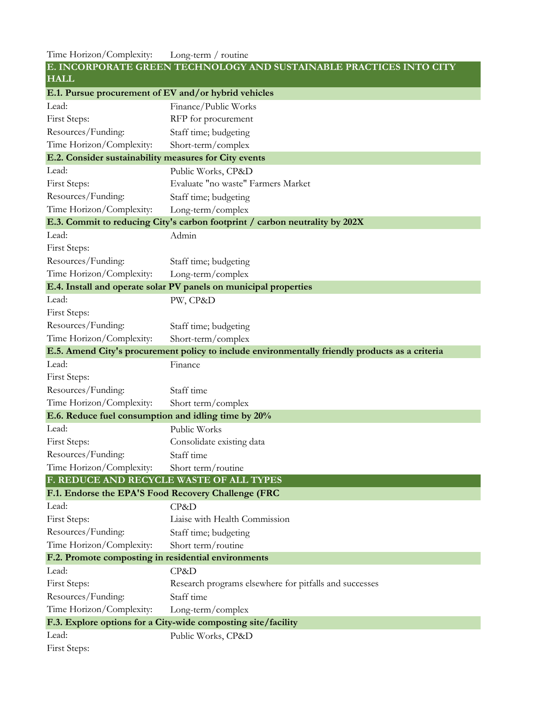Time Horizon/Complexity: Long-term / routine

| E. INCORPORATE GREEN TECHNOLOGY AND SUSTAINABLE PRACTICES INTO CITY<br><b>HALL</b> |                                                                                                 |  |
|------------------------------------------------------------------------------------|-------------------------------------------------------------------------------------------------|--|
| E.1. Pursue procurement of EV and/or hybrid vehicles                               |                                                                                                 |  |
| Lead:                                                                              | Finance/Public Works                                                                            |  |
| First Steps:                                                                       | RFP for procurement                                                                             |  |
| Resources/Funding:                                                                 | Staff time; budgeting                                                                           |  |
| Time Horizon/Complexity:                                                           | Short-term/complex                                                                              |  |
| E.2. Consider sustainability measures for City events                              |                                                                                                 |  |
| Lead:                                                                              | Public Works, CP&D                                                                              |  |
| First Steps:                                                                       | Evaluate "no waste" Farmers Market                                                              |  |
| Resources/Funding:                                                                 | Staff time; budgeting                                                                           |  |
| Time Horizon/Complexity:                                                           | Long-term/complex                                                                               |  |
|                                                                                    | E.3. Commit to reducing City's carbon footprint / carbon neutrality by 202X                     |  |
| Lead:                                                                              | Admin                                                                                           |  |
| First Steps:                                                                       |                                                                                                 |  |
| Resources/Funding:                                                                 | Staff time; budgeting                                                                           |  |
| Time Horizon/Complexity:                                                           | Long-term/complex                                                                               |  |
|                                                                                    | E.4. Install and operate solar PV panels on municipal properties                                |  |
| Lead:                                                                              | PW, CP&D                                                                                        |  |
| First Steps:                                                                       |                                                                                                 |  |
| Resources/Funding:                                                                 | Staff time; budgeting                                                                           |  |
| Time Horizon/Complexity:                                                           | Short-term/complex                                                                              |  |
|                                                                                    | E.5. Amend City's procurement policy to include environmentally friendly products as a criteria |  |
| Lead:                                                                              | Finance                                                                                         |  |
| First Steps:                                                                       |                                                                                                 |  |
| Resources/Funding:                                                                 | Staff time                                                                                      |  |
| Time Horizon/Complexity:                                                           | Short term/complex                                                                              |  |
| E.6. Reduce fuel consumption and idling time by 20%                                |                                                                                                 |  |
| Lead:                                                                              | Public Works                                                                                    |  |
| First Steps:                                                                       | Consolidate existing data                                                                       |  |
| Resources/Funding:                                                                 | Staff time                                                                                      |  |
| Time Horizon/Complexity:                                                           | Short term/routine                                                                              |  |
| F. REDUCE AND RECYCLE WASTE OF ALL TYPES                                           |                                                                                                 |  |
| F.1. Endorse the EPA'S Food Recovery Challenge (FRC                                |                                                                                                 |  |
| Lead:                                                                              | CP&D                                                                                            |  |
| First Steps:                                                                       | Liaise with Health Commission                                                                   |  |
| Resources/Funding:                                                                 | Staff time; budgeting                                                                           |  |
| Time Horizon/Complexity:                                                           | Short term/routine                                                                              |  |
| F.2. Promote composting in residential environments                                |                                                                                                 |  |
| Lead:                                                                              | CP&D                                                                                            |  |
| First Steps:                                                                       | Research programs elsewhere for pitfalls and successes                                          |  |
| Resources/Funding:                                                                 | Staff time                                                                                      |  |
| Time Horizon/Complexity:                                                           | Long-term/complex                                                                               |  |
|                                                                                    | F.3. Explore options for a City-wide composting site/facility                                   |  |
| Lead:                                                                              | Public Works, CP&D                                                                              |  |
| First Steps:                                                                       |                                                                                                 |  |